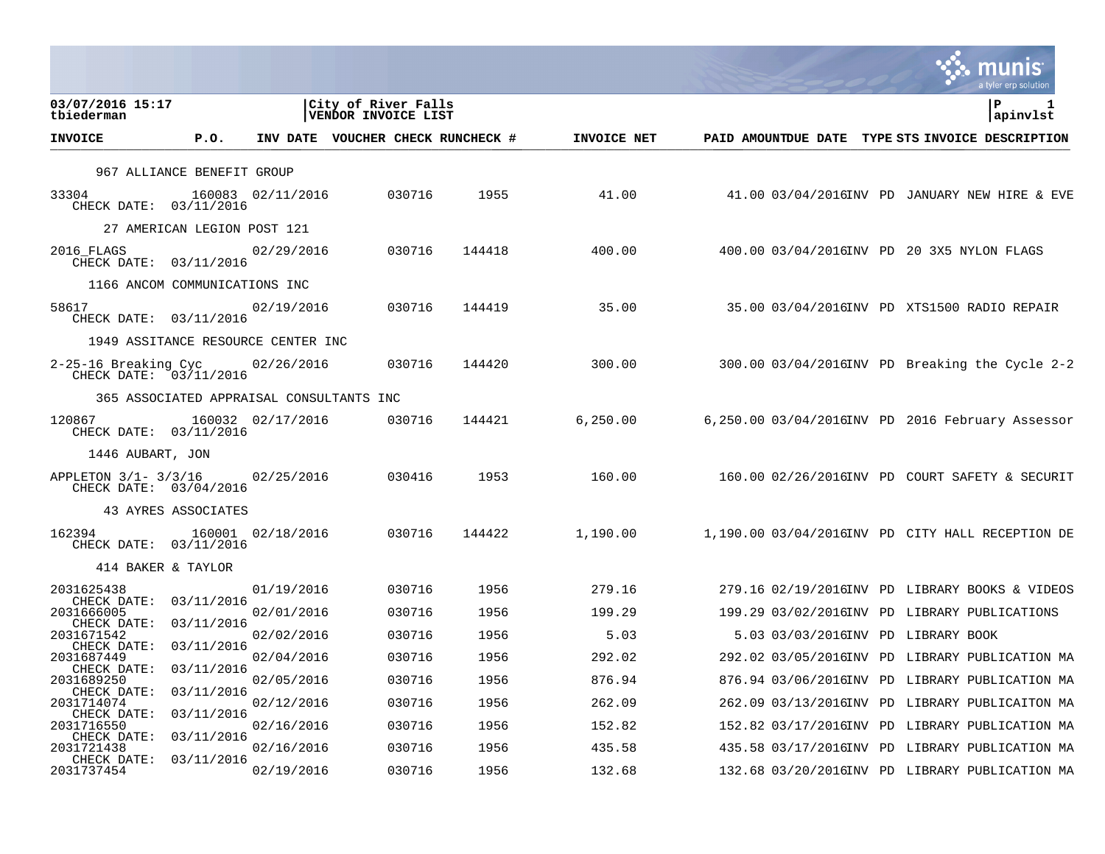|                                                   |                                          |                   |                                            |        |             |                     | a tyler erp solution                             |          |
|---------------------------------------------------|------------------------------------------|-------------------|--------------------------------------------|--------|-------------|---------------------|--------------------------------------------------|----------|
| 03/07/2016 15:17<br>tbiederman                    |                                          |                   | City of River Falls<br>VENDOR INVOICE LIST |        |             |                     | P                                                | apinvlst |
| <b>INVOICE</b>                                    | P.0.                                     |                   | INV DATE VOUCHER CHECK RUNCHECK #          |        | INVOICE NET | PAID AMOUNTDUE DATE | TYPE STS INVOICE DESCRIPTION                     |          |
|                                                   | 967 ALLIANCE BENEFIT GROUP               |                   |                                            |        |             |                     |                                                  |          |
| 33304<br>CHECK DATE: 03/11/2016                   |                                          | 160083 02/11/2016 | 030716                                     | 1955   | 41.00       |                     | 41.00 03/04/2016INV PD JANUARY NEW HIRE & EVE    |          |
|                                                   | 27 AMERICAN LEGION POST 121              |                   |                                            |        |             |                     |                                                  |          |
| 2016 FLAGS<br>CHECK DATE: 03/11/2016              |                                          | 02/29/2016        | 030716                                     | 144418 | 400.00      |                     | 400.00 03/04/2016INV PD 20 3X5 NYLON FLAGS       |          |
|                                                   | 1166 ANCOM COMMUNICATIONS INC            |                   |                                            |        |             |                     |                                                  |          |
| 58617<br>CHECK DATE: 03/11/2016                   |                                          | 02/19/2016        | 030716                                     | 144419 | 35.00       |                     | 35.00 03/04/2016INV PD XTS1500 RADIO REPAIR      |          |
|                                                   | 1949 ASSITANCE RESOURCE CENTER INC       |                   |                                            |        |             |                     |                                                  |          |
| 2-25-16 Breaking Cyc<br>CHECK DATE: 03/11/2016    |                                          | 02/26/2016        | 030716                                     | 144420 | 300.00      |                     | $300.00$ 03/04/2016INV PD Breaking the Cycle 2-2 |          |
|                                                   | 365 ASSOCIATED APPRAISAL CONSULTANTS INC |                   |                                            |        |             |                     |                                                  |          |
| 120867<br>CHECK DATE: 03/11/2016                  |                                          | 160032 02/17/2016 | 030716                                     | 144421 | 6,250.00    |                     | 6,250.00 03/04/2016INV PD 2016 February Assessor |          |
| 1446 AUBART, JON                                  |                                          |                   |                                            |        |             |                     |                                                  |          |
| APPLETON $3/1 - 3/3/16$<br>CHECK DATE: 03/04/2016 |                                          | 02/25/2016        | 030416                                     | 1953   | 160.00      |                     | $160.00$ 02/26/2016INV PD COURT SAFETY & SECURIT |          |
|                                                   | 43 AYRES ASSOCIATES                      |                   |                                            |        |             |                     |                                                  |          |
| 162394<br>CHECK DATE: 03/11/2016                  |                                          | 160001 02/18/2016 | 030716                                     | 144422 | 1,190.00    |                     | 1,190.00 03/04/2016INV PD CITY HALL RECEPTION DE |          |
|                                                   | 414 BAKER & TAYLOR                       |                   |                                            |        |             |                     |                                                  |          |
| 2031625438<br>CHECK DATE: 03/11/2016              |                                          | 01/19/2016        | 030716                                     | 1956   | 279.16      |                     | 279.16 02/19/2016INV PD LIBRARY BOOKS & VIDEOS   |          |
| 2031666005<br>CHECK DATE:                         | 03/11/2016                               | 02/01/2016        | 030716                                     | 1956   | 199.29      |                     | 199.29 03/02/2016INV PD LIBRARY PUBLICATIONS     |          |
| 2031671542                                        |                                          | 02/02/2016        | 030716                                     | 1956   | 5.03        |                     | 5.03 03/03/2016INV PD LIBRARY BOOK               |          |
| CHECK DATE:<br>2031687449                         | 03/11/2016                               | 02/04/2016        | 030716                                     | 1956   | 292.02      |                     | 292.02 03/05/2016INV PD LIBRARY PUBLICATION MA   |          |
| CHECK DATE: 03/11/2016<br>2031689250              |                                          | 02/05/2016        | 030716                                     | 1956   | 876.94      |                     | 876.94 03/06/2016INV PD LIBRARY PUBLICATION MA   |          |
| CHECK DATE: 03/11/2016<br>2031714074              |                                          | 02/12/2016        | 030716                                     | 1956   | 262.09      |                     | 262.09 03/13/2016INV PD LIBRARY PUBLICAITON MA   |          |
| CHECK DATE: 03/11/2016<br>2031716550              |                                          | 02/16/2016        | 030716                                     | 1956   | 152.82      |                     | 152.82 03/17/2016INV PD LIBRARY PUBLICATION MA   |          |
| CHECK DATE:<br>2031721438                         | 03/11/2016                               | 02/16/2016        | 030716                                     | 1956   | 435.58      |                     | 435.58 03/17/2016INV PD LIBRARY PUBLICATION MA   |          |
| CHECK DATE:<br>2031737454                         | 03/11/2016                               | 02/19/2016        | 030716                                     | 1956   | 132.68      |                     | 132.68 03/20/2016INV PD LIBRARY PUBLICATION MA   |          |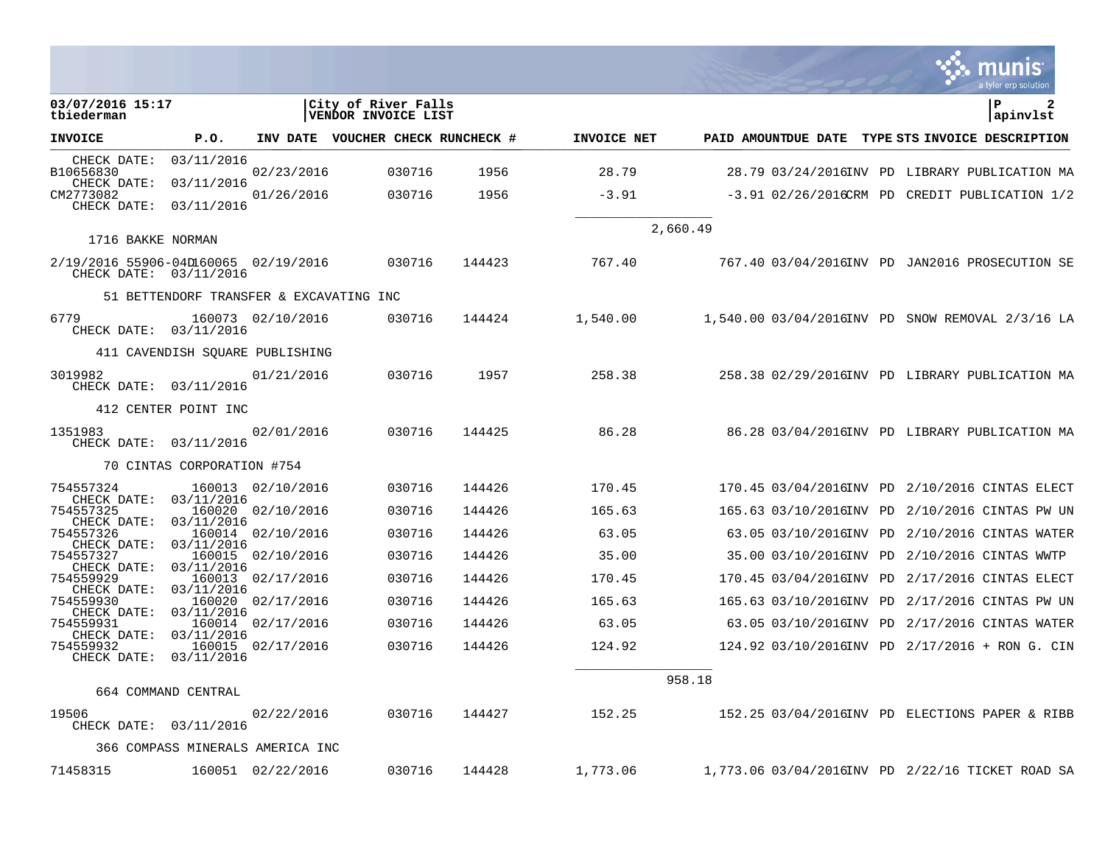|                                                                |                                         |                   |                                            |        |                    |                                                     |  | a tyler erp solution                             |
|----------------------------------------------------------------|-----------------------------------------|-------------------|--------------------------------------------|--------|--------------------|-----------------------------------------------------|--|--------------------------------------------------|
| 03/07/2016 15:17<br>tbiederman                                 |                                         |                   | City of River Falls<br>VENDOR INVOICE LIST |        |                    |                                                     |  | $\mathbf{P}$<br>apinvlst                         |
| <b>INVOICE</b>                                                 | P.O.                                    |                   | INV DATE VOUCHER CHECK RUNCHECK #          |        | <b>INVOICE NET</b> |                                                     |  | PAID AMOUNTDUE DATE TYPE STS INVOICE DESCRIPTION |
| CHECK DATE:<br>B10656830                                       | 03/11/2016                              | 02/23/2016        | 030716                                     | 1956   | 28.79              |                                                     |  | 28.79 03/24/2016INV PD LIBRARY PUBLICATION MA    |
| CHECK DATE:                                                    | 03/11/2016                              |                   |                                            |        |                    |                                                     |  |                                                  |
| CM2773082<br>CHECK DATE:                                       | 03/11/2016                              | 01/26/2016        | 030716                                     | 1956   | $-3.91$            |                                                     |  | $-3.91$ 02/26/2016CRM PD CREDIT PUBLICATION 1/2  |
| 1716 BAKKE NORMAN                                              |                                         |                   |                                            |        |                    | 2,660.49                                            |  |                                                  |
| 2/19/2016 55906-04D160065 02/19/2016<br>CHECK DATE: 03/11/2016 |                                         |                   | 030716                                     | 144423 | 767.40             | 767.40  03/04/2016INV  PD  JAN2016  PROSECUTION  SE |  |                                                  |
|                                                                | 51 BETTENDORF TRANSFER & EXCAVATING INC |                   |                                            |        |                    |                                                     |  |                                                  |
| 6779<br>CHECK DATE: 03/11/2016                                 |                                         | 160073 02/10/2016 | 030716                                     | 144424 |                    |                                                     |  |                                                  |
|                                                                | 411 CAVENDISH SOUARE PUBLISHING         |                   |                                            |        |                    |                                                     |  |                                                  |
| 3019982<br>CHECK DATE: 03/11/2016                              |                                         | 01/21/2016        | 030716                                     | 1957   | 258.38             |                                                     |  | 258.38 02/29/2016INV PD LIBRARY PUBLICATION MA   |
|                                                                | 412 CENTER POINT INC                    |                   |                                            |        |                    |                                                     |  |                                                  |
| 1351983<br>CHECK DATE: 03/11/2016                              |                                         | 02/01/2016        | 030716                                     | 144425 | 86.28              |                                                     |  | 86.28 03/04/2016INV PD LIBRARY PUBLICATION MA    |
|                                                                | 70 CINTAS CORPORATION #754              |                   |                                            |        |                    |                                                     |  |                                                  |
| 754557324                                                      | 03/11/2016                              | 160013 02/10/2016 | 030716                                     | 144426 | 170.45             |                                                     |  | 170.45 03/04/2016INV PD 2/10/2016 CINTAS ELECT   |
| CHECK DATE:<br>754557325                                       |                                         | 160020 02/10/2016 | 030716                                     | 144426 | 165.63             |                                                     |  | 165.63 03/10/2016INV PD 2/10/2016 CINTAS PW UN   |
| CHECK DATE:<br>754557326                                       | 03/11/2016                              | 160014 02/10/2016 | 030716                                     | 144426 | 63.05              |                                                     |  | 63.05 03/10/2016INV PD 2/10/2016 CINTAS WATER    |
| CHECK DATE:<br>754557327                                       | 03/11/2016                              | 160015 02/10/2016 | 030716                                     | 144426 | 35.00              |                                                     |  | 35.00 03/10/2016INV PD 2/10/2016 CINTAS WWTP     |
| CHECK DATE:<br>754559929                                       | 03/11/2016                              | 160013 02/17/2016 | 030716                                     | 144426 | 170.45             |                                                     |  | 170.45 03/04/2016INV PD 2/17/2016 CINTAS ELECT   |
| CHECK DATE:<br>754559930                                       | 03/11/2016                              | 160020 02/17/2016 | 030716                                     | 144426 | 165.63             |                                                     |  | 165.63 03/10/2016INV PD 2/17/2016 CINTAS PW UN   |
| CHECK DATE:<br>754559931                                       | 03/11/2016                              | 160014 02/17/2016 | 030716                                     | 144426 | 63.05              |                                                     |  | 63.05 03/10/2016INV PD 2/17/2016 CINTAS WATER    |
| CHECK DATE:<br>754559932                                       | 03/11/2016                              | 160015 02/17/2016 | 030716                                     | 144426 | 124.92             |                                                     |  | 124.92 03/10/2016INV PD 2/17/2016 + RON G. CIN   |
| CHECK DATE:                                                    | 03/11/2016                              |                   |                                            |        |                    |                                                     |  |                                                  |
|                                                                | 664 COMMAND CENTRAL                     |                   |                                            |        |                    | 958.18                                              |  |                                                  |
| 19506<br>CHECK DATE: 03/11/2016                                |                                         | 02/22/2016        | 030716                                     | 144427 | 152.25             |                                                     |  | 152.25 03/04/2016INV PD ELECTIONS PAPER & RIBB   |
|                                                                | 366 COMPASS MINERALS AMERICA INC        |                   |                                            |        |                    |                                                     |  |                                                  |
| 71458315                                                       |                                         | 160051 02/22/2016 | 030716                                     | 144428 | 1,773.06           |                                                     |  | 1,773.06 03/04/2016INV PD 2/22/16 TICKET ROAD SA |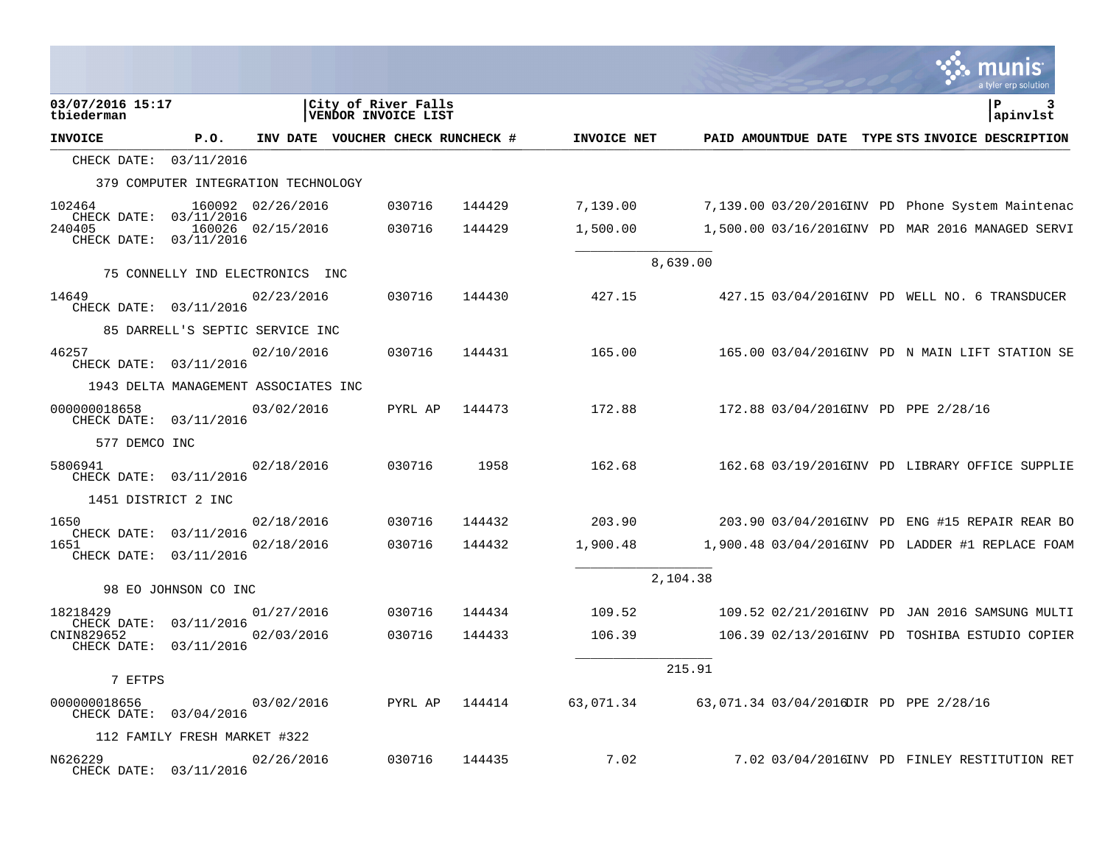|                                                 |                                      |                   |                                            |                                   |             |          |                                                           | a tyler erp solution                             |
|-------------------------------------------------|--------------------------------------|-------------------|--------------------------------------------|-----------------------------------|-------------|----------|-----------------------------------------------------------|--------------------------------------------------|
| 03/07/2016 15:17<br>tbiederman                  |                                      |                   | City of River Falls<br>VENDOR INVOICE LIST |                                   |             |          |                                                           | P<br>3<br>apinvlst                               |
| <b>INVOICE</b>                                  | P.O.                                 |                   |                                            | INV DATE VOUCHER CHECK RUNCHECK # | INVOICE NET |          |                                                           | PAID AMOUNTDUE DATE TYPE STS INVOICE DESCRIPTION |
| CHECK DATE: 03/11/2016                          |                                      |                   |                                            |                                   |             |          |                                                           |                                                  |
|                                                 | 379 COMPUTER INTEGRATION TECHNOLOGY  |                   |                                            |                                   |             |          |                                                           |                                                  |
| 102464                                          |                                      | 160092 02/26/2016 | 030716                                     | 144429                            | 7,139.00    |          |                                                           | 7,139.00 03/20/2016INV PD Phone System Maintenac |
| CHECK DATE: 03/11/2016<br>240405<br>CHECK DATE: | 03/11/2016                           | 160026 02/15/2016 | 030716                                     | 144429                            | 1,500.00    |          |                                                           | 1,500.00 03/16/2016INV PD MAR 2016 MANAGED SERVI |
|                                                 | 75 CONNELLY IND ELECTRONICS INC      |                   |                                            |                                   |             | 8,639.00 |                                                           |                                                  |
| 14649<br>CHECK DATE: 03/11/2016                 |                                      | 02/23/2016        | 030716                                     | 144430                            | 427.15      |          |                                                           | 427.15 03/04/2016INV PD WELL NO. 6 TRANSDUCER    |
|                                                 | 85 DARRELL'S SEPTIC SERVICE INC      |                   |                                            |                                   |             |          |                                                           |                                                  |
| 46257<br>CHECK DATE: 03/11/2016                 |                                      | 02/10/2016        | 030716                                     | 144431                            | 165.00      |          |                                                           | 165.00 03/04/2016INV PD N MAIN LIFT STATION SE   |
|                                                 | 1943 DELTA MANAGEMENT ASSOCIATES INC |                   |                                            |                                   |             |          |                                                           |                                                  |
| 000000018658<br>CHECK DATE: 03/11/2016          |                                      | 03/02/2016        | PYRL AP                                    | 144473                            | 172.88      |          | 172.88 03/04/2016INV PD PPE 2/28/16                       |                                                  |
| 577 DEMCO INC                                   |                                      |                   |                                            |                                   |             |          |                                                           |                                                  |
| 5806941<br>CHECK DATE: 03/11/2016               |                                      | 02/18/2016        | 030716                                     | 1958                              | 162.68      |          |                                                           | 162.68 03/19/2016INV PD LIBRARY OFFICE SUPPLIE   |
| 1451 DISTRICT 2 INC                             |                                      |                   |                                            |                                   |             |          |                                                           |                                                  |
| 1650<br>CHECK DATE:                             | 03/11/2016                           | 02/18/2016        | 030716                                     | 144432                            | 203.90      |          |                                                           | 203.90 03/04/2016INV PD ENG #15 REPAIR REAR BO   |
| 1651<br>CHECK DATE:                             | 03/11/2016                           | 02/18/2016        | 030716                                     | 144432                            | 1,900.48    |          |                                                           | 1,900.48 03/04/2016INV PD LADDER #1 REPLACE FOAM |
|                                                 | 98 EO JOHNSON CO INC                 |                   |                                            |                                   |             | 2,104.38 |                                                           |                                                  |
| 18218429                                        |                                      | 01/27/2016        | 030716                                     | 144434                            | 109.52      |          |                                                           | 109.52 02/21/2016INV PD JAN 2016 SAMSUNG MULTI   |
| CHECK DATE:<br>CNIN829652                       | 03/11/2016                           | 02/03/2016        | 030716                                     | 144433                            | 106.39      |          |                                                           | 106.39 02/13/2016INV PD TOSHIBA ESTUDIO COPIER   |
| CHECK DATE:                                     | 03/11/2016                           |                   |                                            |                                   |             |          |                                                           |                                                  |
| 7 EFTPS                                         |                                      |                   |                                            |                                   |             | 215.91   |                                                           |                                                  |
| 000000018656<br>CHECK DATE: 03/04/2016          |                                      | 03/02/2016        |                                            | PYRL AP 144414                    |             |          | 63,071.34    63,071.34    03/04/2016DIR PD PPE    2/28/16 |                                                  |
|                                                 | 112 FAMILY FRESH MARKET #322         |                   |                                            |                                   |             |          |                                                           |                                                  |
| N626229<br>CHECK DATE: 03/11/2016               |                                      | 02/26/2016        | 030716                                     | 144435                            | 7.02        |          |                                                           | 7.02 03/04/2016INV PD FINLEY RESTITUTION RET     |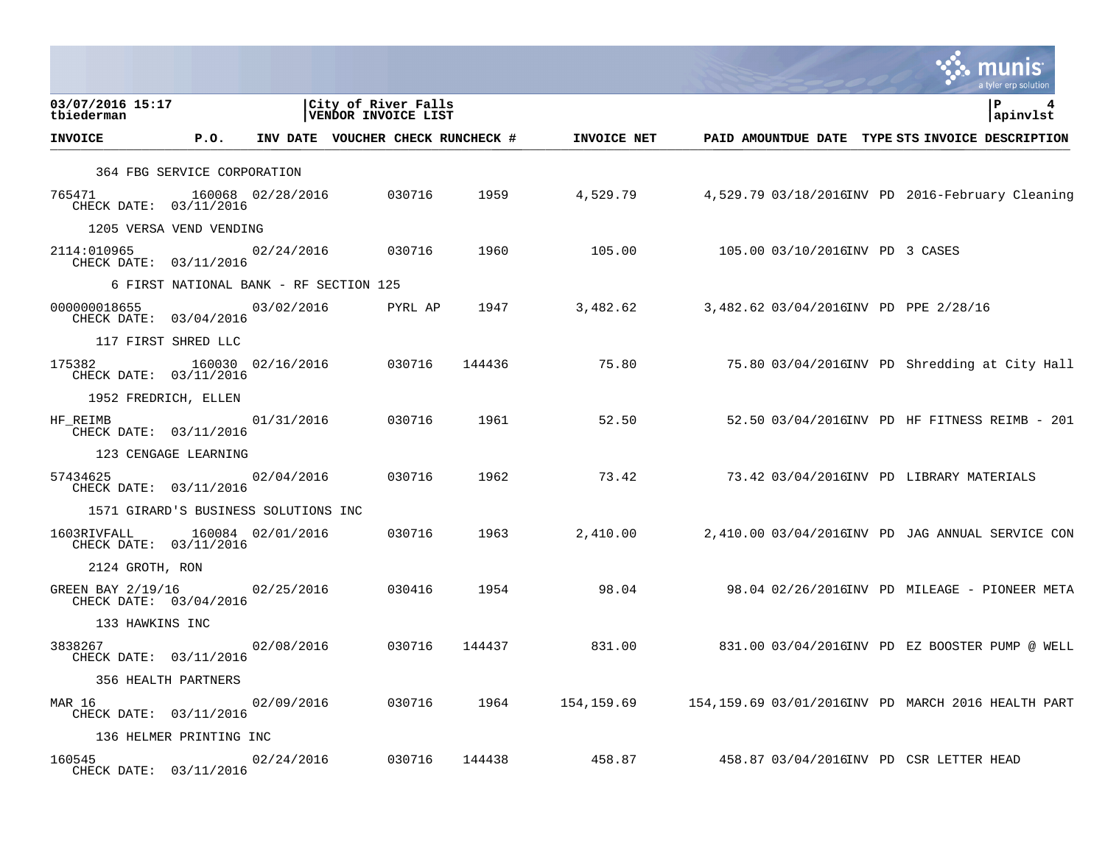|                                                        |                                        |                   |                                            |           |             |                                                    |                                                  |  | a tyler erp solution |
|--------------------------------------------------------|----------------------------------------|-------------------|--------------------------------------------|-----------|-------------|----------------------------------------------------|--------------------------------------------------|--|----------------------|
| 03/07/2016 15:17<br>tbiederman                         |                                        |                   | City of River Falls<br>VENDOR INVOICE LIST |           |             |                                                    |                                                  |  | P<br>apinvlst        |
| <b>INVOICE</b>                                         | P.O.                                   |                   | INV DATE VOUCHER CHECK RUNCHECK #          |           | INVOICE NET |                                                    | PAID AMOUNTDUE DATE TYPE STS INVOICE DESCRIPTION |  |                      |
|                                                        | 364 FBG SERVICE CORPORATION            |                   |                                            |           |             |                                                    |                                                  |  |                      |
| 765471<br>CHECK DATE: 03/11/2016                       |                                        | 160068 02/28/2016 | 030716                                     | 1959      | 4,529.79    |                                                    | 4,529.79 03/18/2016INV PD 2016-February Cleaning |  |                      |
|                                                        | 1205 VERSA VEND VENDING                |                   |                                            |           |             |                                                    |                                                  |  |                      |
| 2114:010965<br>CHECK DATE: 03/11/2016                  |                                        | 02/24/2016        | 030716                                     | 1960      | 105.00      |                                                    | 105.00 03/10/2016INV PD 3 CASES                  |  |                      |
|                                                        | 6 FIRST NATIONAL BANK - RF SECTION 125 |                   |                                            |           |             |                                                    |                                                  |  |                      |
| 000000018655<br>CHECK DATE: 03/04/2016                 |                                        | 03/02/2016        | PYRL AP                                    | 1947      | 3,482.62    |                                                    | 3,482.62 03/04/2016INV PD PPE 2/28/16            |  |                      |
|                                                        | 117 FIRST SHRED LLC                    |                   |                                            |           |             |                                                    |                                                  |  |                      |
| 175382 160030 02/16/2016<br>CHECK DATE: 03/11/2016     |                                        |                   | 030716                                     | 144436    | 75.80       |                                                    | 75.80 03/04/2016INV PD Shredding at City Hall    |  |                      |
| 1952 FREDRICH, ELLEN                                   |                                        |                   |                                            |           |             |                                                    |                                                  |  |                      |
| HF_REIMB<br>CHECK DATE: 03/11/2016                     |                                        | 01/31/2016        | 030716                                     | 1961      | 52.50       |                                                    | 52.50 03/04/2016INV PD HF FITNESS REIMB - 201    |  |                      |
|                                                        | 123 CENGAGE LEARNING                   |                   |                                            |           |             |                                                    |                                                  |  |                      |
| 57434625<br>CHECK DATE: 03/11/2016                     |                                        | 02/04/2016        | 030716                                     | 1962      | 73.42       |                                                    | 73.42 03/04/2016INV PD LIBRARY MATERIALS         |  |                      |
|                                                        | 1571 GIRARD'S BUSINESS SOLUTIONS INC   |                   |                                            |           |             |                                                    |                                                  |  |                      |
| 1603RIVFALL<br>CHECK DATE: 03/11/2016                  | 160084 02/01/2016                      |                   | 030716                                     | 1963      | 2,410.00    |                                                    | 2,410.00 03/04/2016INV PD JAG ANNUAL SERVICE CON |  |                      |
| 2124 GROTH, RON                                        |                                        |                   |                                            |           |             |                                                    |                                                  |  |                      |
| GREEN BAY 2/19/16 02/25/2016<br>CHECK DATE: 03/04/2016 |                                        |                   | 030416                                     | 1954      | 98.04       |                                                    |                                                  |  |                      |
| 133 HAWKINS INC                                        |                                        |                   |                                            |           |             |                                                    |                                                  |  |                      |
| 3838267<br>CHECK DATE: 03/11/2016                      |                                        | 02/08/2016        | 030716                                     | 144437    | 831.00      |                                                    | 831.00 03/04/2016INV PD EZ BOOSTER PUMP @ WELL   |  |                      |
|                                                        | 356 HEALTH PARTNERS                    |                   |                                            |           |             |                                                    |                                                  |  |                      |
| MAR 16<br>CHECK DATE: 03/11/2016                       |                                        | 02/09/2016        | 030716                                     | 1964 - 19 | 154,159.69  | 154,159.69 03/01/2016INV PD MARCH 2016 HEALTH PART |                                                  |  |                      |
|                                                        | 136 HELMER PRINTING INC                |                   |                                            |           |             |                                                    |                                                  |  |                      |
| 160545<br>CHECK DATE: 03/11/2016                       |                                        | 02/24/2016        | 030716                                     | 144438    | 458.87      |                                                    | 458.87 03/04/2016INV PD CSR LETTER HEAD          |  |                      |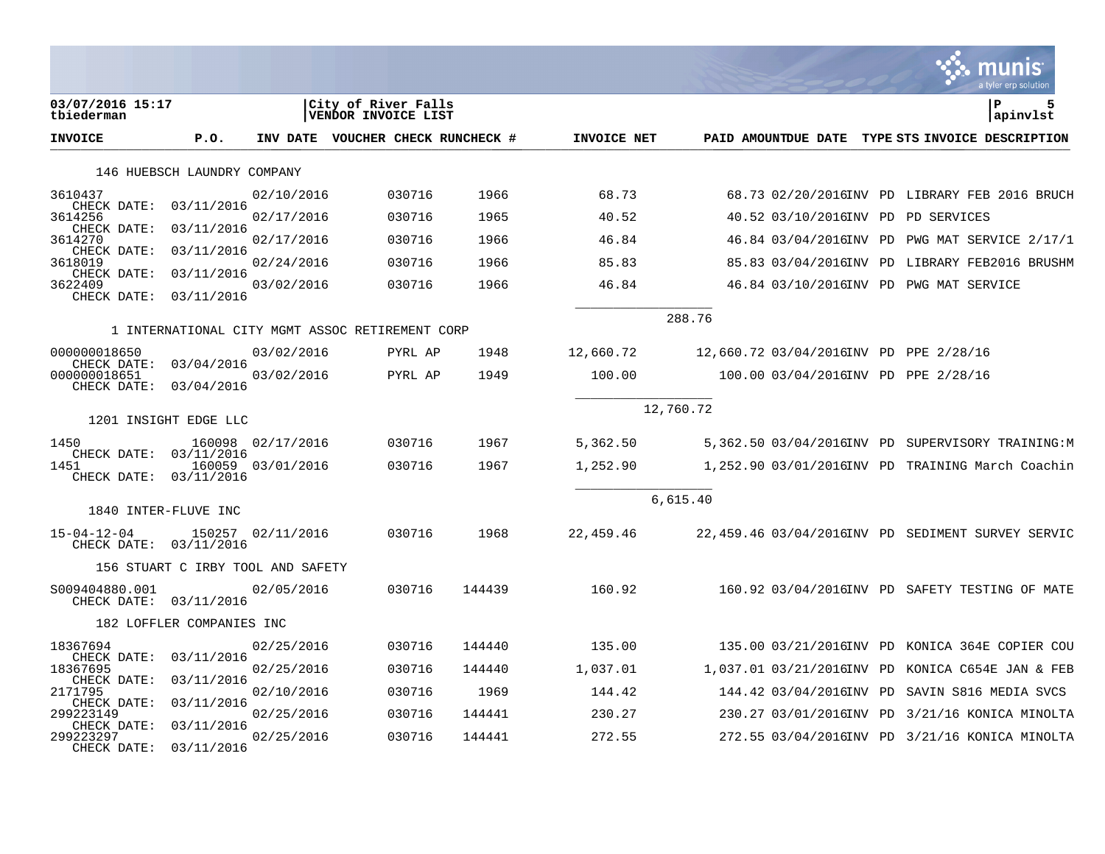|                                                       |                                   |                   |                                                 |        |             |           |                                        | a tyler erp solution                              |
|-------------------------------------------------------|-----------------------------------|-------------------|-------------------------------------------------|--------|-------------|-----------|----------------------------------------|---------------------------------------------------|
| 03/07/2016 15:17<br>tbiederman                        |                                   |                   | City of River Falls<br>VENDOR INVOICE LIST      |        |             |           |                                        | ${\bf P}$<br>5<br>apinvlst                        |
| <b>INVOICE</b>                                        | P.O.                              |                   | INV DATE VOUCHER CHECK RUNCHECK #               |        | INVOICE NET |           | PAID AMOUNTDUE DATE                    | TYPE STS INVOICE DESCRIPTION                      |
|                                                       | 146 HUEBSCH LAUNDRY COMPANY       |                   |                                                 |        |             |           |                                        |                                                   |
| 3610437<br>CHECK DATE:                                | 03/11/2016                        | 02/10/2016        | 030716                                          | 1966   | 68.73       |           |                                        | 68.73 02/20/2016INV PD LIBRARY FEB 2016 BRUCH     |
| 3614256                                               |                                   | 02/17/2016        | 030716                                          | 1965   | 40.52       |           | 40.52 03/10/2016INV PD                 | PD SERVICES                                       |
| CHECK DATE:<br>3614270                                | 03/11/2016                        | 02/17/2016        | 030716                                          | 1966   | 46.84       |           |                                        | 46.84 03/04/2016INV PD PWG MAT SERVICE 2/17/1     |
| CHECK DATE:<br>3618019                                | 03/11/2016                        | 02/24/2016        | 030716                                          | 1966   | 85.83       |           |                                        | 85.83 03/04/2016INV PD LIBRARY FEB2016 BRUSHM     |
| CHECK DATE:<br>3622409<br>CHECK DATE:                 | 03/11/2016<br>03/11/2016          | 03/02/2016        | 030716                                          | 1966   | 46.84       |           |                                        | 46.84 03/10/2016INV PD PWG MAT SERVICE            |
|                                                       |                                   |                   | 1 INTERNATIONAL CITY MGMT ASSOC RETIREMENT CORP |        |             | 288.76    |                                        |                                                   |
| 000000018650                                          |                                   | 03/02/2016        | PYRL AP                                         | 1948   | 12,660.72   |           | 12,660.72 03/04/2016INV PD PPE 2/28/16 |                                                   |
| CHECK DATE: 03/04/2016<br>000000018651<br>CHECK DATE: | 03/04/2016                        | 03/02/2016        | PYRL AP                                         | 1949   | 100.00      |           | 100.00 03/04/2016INV PD PPE 2/28/16    |                                                   |
|                                                       | 1201 INSIGHT EDGE LLC             |                   |                                                 |        |             | 12,760.72 |                                        |                                                   |
| 1450<br>CHECK DATE:                                   | 160098<br>03/11/2016              | 02/17/2016        | 030716                                          | 1967   | 5,362.50    |           |                                        | 5,362.50 03/04/2016INV PD SUPERVISORY TRAINING:M  |
| 1451<br>CHECK DATE:                                   | 03/11/2016                        | 160059 03/01/2016 | 030716                                          | 1967   | 1,252.90    |           |                                        | 1,252.90 03/01/2016INV PD TRAINING March Coachin  |
|                                                       |                                   |                   |                                                 |        |             | 6,615.40  |                                        |                                                   |
| $15 - 04 - 12 - 04$<br>CHECK DATE: 03/11/2016         | 1840 INTER-FLUVE INC              | 150257 02/11/2016 | 030716                                          | 1968   | 22,459.46   |           |                                        | 22,459.46 03/04/2016INV PD SEDIMENT SURVEY SERVIC |
|                                                       | 156 STUART C IRBY TOOL AND SAFETY |                   |                                                 |        |             |           |                                        |                                                   |
| S009404880.001<br>CHECK DATE: 03/11/2016              |                                   | 02/05/2016        | 030716                                          | 144439 | 160.92      |           |                                        | 160.92 03/04/2016INV PD SAFETY TESTING OF MATE    |
|                                                       | 182 LOFFLER COMPANIES INC         |                   |                                                 |        |             |           |                                        |                                                   |
| 18367694                                              |                                   | 02/25/2016        | 030716                                          | 144440 | 135.00      |           |                                        | 135.00 03/21/2016INV PD KONICA 364E COPIER COU    |
| CHECK DATE:<br>18367695                               | 03/11/2016                        | 02/25/2016        | 030716                                          | 144440 | 1,037.01    |           | 1,037.01 03/21/2016INV PD              | KONICA C654E JAN & FEB                            |
| CHECK DATE:<br>2171795                                | 03/11/2016                        | 02/10/2016        | 030716                                          | 1969   | 144.42      |           | 144.42 03/04/2016INV PD                | SAVIN S816 MEDIA SVCS                             |
| CHECK DATE:<br>299223149                              | 03/11/2016                        | 02/25/2016        | 030716                                          | 144441 | 230.27      |           |                                        | 230.27 03/01/2016INV PD 3/21/16 KONICA MINOLTA    |
| CHECK DATE:<br>299223297<br>CHECK DATE:               | 03/11/2016<br>03/11/2016          | 02/25/2016        | 030716                                          | 144441 | 272.55      |           |                                        | 272.55 03/04/2016INV PD 3/21/16 KONICA MINOLTA    |

**Contract**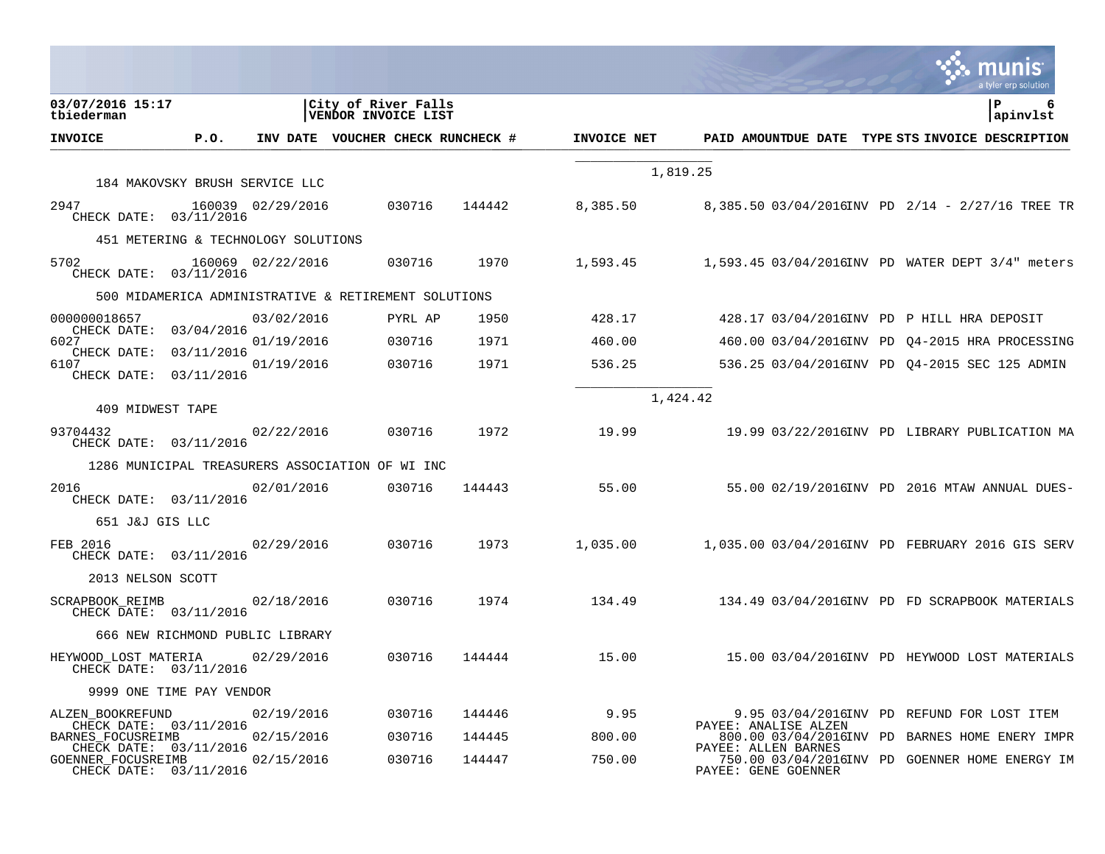|                                                                        |                                     |                   |                                                      |        |             |                                            | a tyler erp solution                             |
|------------------------------------------------------------------------|-------------------------------------|-------------------|------------------------------------------------------|--------|-------------|--------------------------------------------|--------------------------------------------------|
| 03/07/2016 15:17<br>tbiederman                                         |                                     |                   | City of River Falls<br>VENDOR INVOICE LIST           |        |             |                                            | P<br>apinvlst                                    |
| <b>INVOICE</b>                                                         | P.O.                                |                   | INV DATE VOUCHER CHECK RUNCHECK #                    |        | INVOICE NET | PAID AMOUNTDUE DATE                        | TYPE STS INVOICE DESCRIPTION                     |
|                                                                        |                                     |                   |                                                      |        |             | 1,819.25                                   |                                                  |
|                                                                        | 184 MAKOVSKY BRUSH SERVICE LLC      |                   |                                                      |        |             |                                            |                                                  |
| 2947<br>CHECK DATE: 03/11/2016                                         |                                     | 160039 02/29/2016 | 030716                                               | 144442 | 8,385.50    |                                            | 8,385.50 03/04/2016INV PD 2/14 - 2/27/16 TREE TR |
|                                                                        | 451 METERING & TECHNOLOGY SOLUTIONS |                   |                                                      |        |             |                                            |                                                  |
| 5702<br>CHECK DATE: 03/11/2016                                         |                                     | 160069 02/22/2016 | 030716                                               | 1970   | 1,593.45    |                                            | 1,593.45 03/04/2016INV PD WATER DEPT 3/4" meters |
|                                                                        |                                     |                   | 500 MIDAMERICA ADMINISTRATIVE & RETIREMENT SOLUTIONS |        |             |                                            |                                                  |
| 000000018657<br>CHECK DATE:                                            |                                     | 03/02/2016        | PYRL AP                                              | 1950   | 428.17      |                                            | 428.17 03/04/2016INV PD P HILL HRA DEPOSIT       |
| 6027<br>CHECK DATE:                                                    | 03/04/2016<br>03/11/2016            | 01/19/2016        | 030716                                               | 1971   | 460.00      |                                            | 460.00 03/04/2016INV PD Q4-2015 HRA PROCESSING   |
| 6107<br>CHECK DATE:                                                    | 03/11/2016                          | 01/19/2016        | 030716                                               | 1971   | 536.25      |                                            | 536.25 03/04/2016INV PD 04-2015 SEC 125 ADMIN    |
| 409 MIDWEST TAPE                                                       |                                     |                   |                                                      |        |             | 1,424.42                                   |                                                  |
| 93704432<br>CHECK DATE: 03/11/2016                                     |                                     | 02/22/2016        | 030716                                               | 1972   | 19.99       |                                            | 19.99 03/22/2016INV PD LIBRARY PUBLICATION MA    |
|                                                                        |                                     |                   | 1286 MUNICIPAL TREASURERS ASSOCIATION OF WI INC      |        |             |                                            |                                                  |
| 2016<br>CHECK DATE: 03/11/2016                                         |                                     | 02/01/2016        | 030716                                               | 144443 | 55.00       |                                            | 55.00 02/19/2016INV PD 2016 MTAW ANNUAL DUES-    |
| 651 J&J GIS LLC                                                        |                                     |                   |                                                      |        |             |                                            |                                                  |
| FEB 2016<br>CHECK DATE: 03/11/2016                                     |                                     | 02/29/2016        | 030716                                               | 1973   | 1,035.00    |                                            | 1,035.00 03/04/2016INV PD FEBRUARY 2016 GIS SERV |
| 2013 NELSON SCOTT                                                      |                                     |                   |                                                      |        |             |                                            |                                                  |
| <b>SCRAPBOOK REIMB</b><br>CHECK DATE: 03/11/2016                       |                                     | 02/18/2016        | 030716                                               | 1974   | 134.49      |                                            | 134.49 03/04/2016INV PD FD SCRAPBOOK MATERIALS   |
|                                                                        | 666 NEW RICHMOND PUBLIC LIBRARY     |                   |                                                      |        |             |                                            |                                                  |
| HEYWOOD LOST MATERIA<br>CHECK DATE: 03/11/2016                         |                                     | 02/29/2016        | 030716                                               | 144444 | 15.00       |                                            | 15.00 03/04/2016INV PD HEYWOOD LOST MATERIALS    |
|                                                                        | 9999 ONE TIME PAY VENDOR            |                   |                                                      |        |             |                                            |                                                  |
| ALZEN BOOKREFUND<br>CHECK DATE: 03/11/2016                             |                                     | 02/19/2016        | 030716                                               | 144446 | 9.95        | PAYEE: ANALISE ALZEN                       | 9.95 03/04/2016INV PD REFUND FOR LOST ITEM       |
| BARNES FOCUSREIMB                                                      |                                     | 02/15/2016        | 030716                                               | 144445 | 800.00      |                                            | 800.00 03/04/2016INV PD BARNES HOME ENERY IMPR   |
| CHECK DATE: 03/11/2016<br>GOENNER FOCUSREIMB<br>CHECK DATE: 03/11/2016 |                                     | 02/15/2016        | 030716                                               | 144447 | 750.00      | PAYEE: ALLEN BARNES<br>PAYEE: GENE GOENNER | 750.00 03/04/2016INV PD GOENNER HOME ENERGY IM   |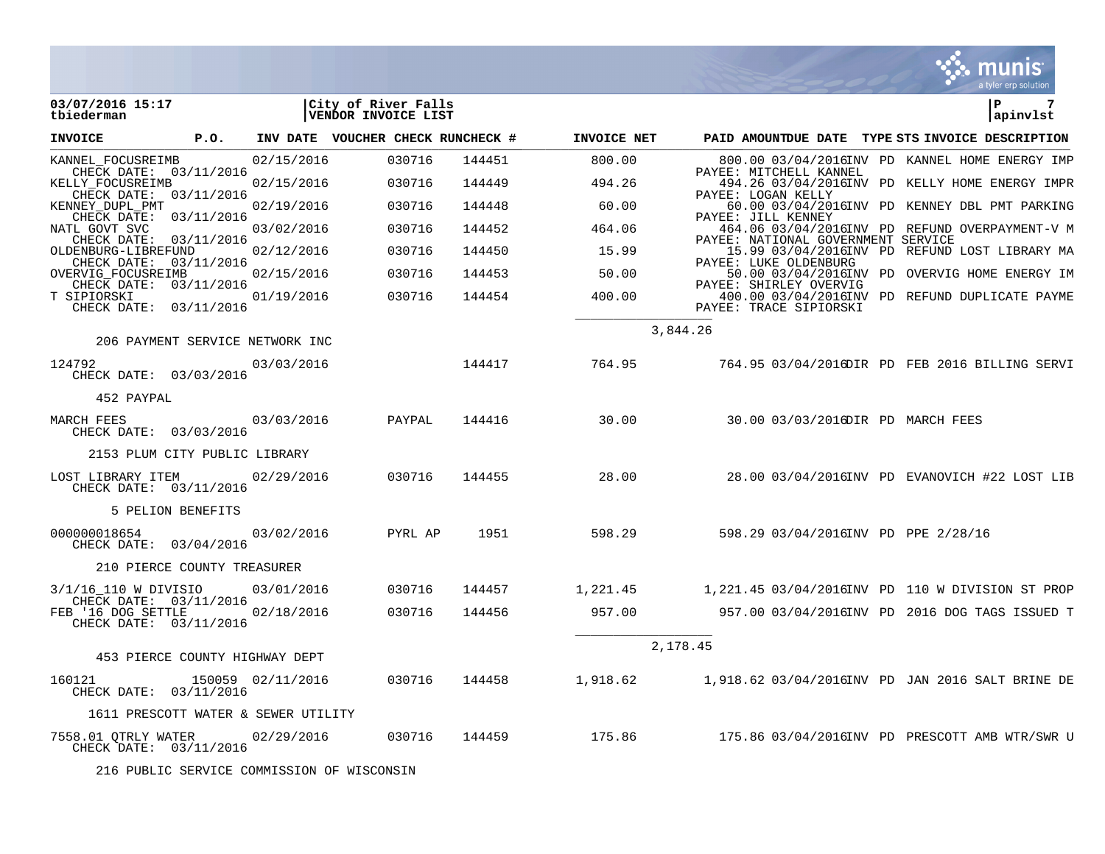|                                 |                                                  |                   |                                            |               |                    |                                                                                                    |  | a tyler erp solution |
|---------------------------------|--------------------------------------------------|-------------------|--------------------------------------------|---------------|--------------------|----------------------------------------------------------------------------------------------------|--|----------------------|
| 03/07/2016 15:17<br>tbiederman  |                                                  |                   | City of River Falls<br>VENDOR INVOICE LIST |               |                    |                                                                                                    |  | ∣P<br>7<br>apinvlst  |
| INVOICE                         | <b>P.O.</b>                                      |                   | INV DATE VOUCHER CHECK RUNCHECK #          |               | <b>INVOICE NET</b> | PAID AMOUNTDUE DATE TYPE STS INVOICE DESCRIPTION                                                   |  |                      |
| KANNEL_FOCUSREIMB               |                                                  | 02/15/2016        | 030716                                     | 144451        | 800.00             | 800.00 03/04/2016INV PD KANNEL HOME ENERGY IMP                                                     |  |                      |
| KELLY_FOCUSREIMB                | CHECK DATE: 03/11/2016<br>CHECK DATE: 03/11/2016 | 02/15/2016        | 030716                                     | 144449        | 494.26             | PAYEE: MITCHELL KANNEL<br>494.26 03/04/2016INV PD KELLY HOME ENERGY IMPR                           |  |                      |
| KENNEY DUPL PMT                 |                                                  | 02/19/2016        | 030716                                     | 144448        | 60.00              | PAYEE: LOGAN KELLY<br>60.00 03/04/2016INV PD KENNEY DBL PMT PARKING<br>PAYEE: JILL KENNEY          |  |                      |
| NATL GOVT SVC                   | CHECK DATE: 03/11/2016                           | 03/02/2016        | 030716                                     | 144452        | 464.06             | 464.06 03/04/2016INV PD REFUND OVERPAYMENT-V M                                                     |  |                      |
| OLDENBURG-LIBREFUND             | CHECK DATE: 03/11/2016                           | 02/12/2016        | 030716                                     | 144450        | 15.99              | PAYEE: NATIONAL GOVERNMENT SERVICE<br>15.99 03/04/2016INV PD REFUND LOST LIBRARY MA                |  |                      |
| OVERVIG FOCUSREIMB              | CHECK DATE: 03/11/2016                           | 02/15/2016        | 030716                                     | 144453        | 50.00              | PAYEE: LUKE OLDENBURG<br>50.00 03/04/2016INV PD OVERVIG HOME ENERGY IM                             |  |                      |
| T SIPIORSKI                     | CHECK DATE: 03/11/2016<br>CHECK DATE: 03/11/2016 | 01/19/2016        | 030716                                     | 144454        | 400.00             | PAYEE: SHIRLEY OVERVIG<br>400.00 03/04/2016INV PD REFUND DUPLICATE PAYME<br>PAYEE: TRACE SIPIORSKI |  |                      |
|                                 | 206 PAYMENT SERVICE NETWORK INC                  |                   |                                            |               |                    | 3,844.26                                                                                           |  |                      |
| 124792                          | CHECK DATE: 03/03/2016                           | 03/03/2016        | 144417                                     |               |                    | 764.95 764.95 03/04/2016DIR PD FEB 2016 BILLING SERVI                                              |  |                      |
| 452 PAYPAL                      |                                                  |                   |                                            |               |                    |                                                                                                    |  |                      |
| MARCH FEES                      | CHECK DATE: 03/03/2016                           | 03/03/2016        | PAYPAL                                     | 144416        | 30.00              | 30.00 03/03/2016DIR PD MARCH FEES                                                                  |  |                      |
|                                 | 2153 PLUM CITY PUBLIC LIBRARY                    |                   |                                            |               |                    |                                                                                                    |  |                      |
| LOST LIBRARY ITEM 02/29/2016    | CHECK DATE: 03/11/2016                           |                   | 030716                                     | 144455        | 28.00              | 28.00 03/04/2016INV PD EVANOVICH #22 LOST LIB                                                      |  |                      |
|                                 | 5 PELION BENEFITS                                |                   |                                            |               |                    |                                                                                                    |  |                      |
| 000000018654                    | CHECK DATE: 03/04/2016                           | 03/02/2016        | PYRL AP 1951                               |               |                    | 598.29 598.29 03/04/2016INV PD PPE 2/28/16                                                         |  |                      |
|                                 | 210 PIERCE COUNTY TREASURER                      |                   |                                            |               |                    |                                                                                                    |  |                      |
| 3/1/16_110 W DIVISIO 03/01/2016 | CHECK DATE: 03/11/2016                           |                   | 030716                                     | 144457        |                    |                                                                                                    |  |                      |
| FEB '16 DOG SETTLE              | CHECK DATE: 03/11/2016                           | 02/18/2016        | 030716                                     | 144456        |                    | 957.00 957.00 93/04/2016INV PD 2016 DOG TAGS ISSUED T                                              |  |                      |
|                                 | 453 PIERCE COUNTY HIGHWAY DEPT                   |                   |                                            |               |                    | 2,178.45                                                                                           |  |                      |
| 160121                          | CHECK DATE: 03/11/2016                           | 150059 02/11/2016 |                                            | 030716 144458 | 1,918.62           | 1,918.62 03/04/2016INV PD JAN 2016 SALT BRINE DE                                                   |  |                      |
|                                 | 1611 PRESCOTT WATER & SEWER UTILITY              |                   |                                            |               |                    |                                                                                                    |  |                      |
| 7558.01 QTRLY WATER             | CHECK DATE: 03/11/2016                           | 02/29/2016        | 030716                                     |               | 144459 175.86      | 175.86 03/04/2016INV PD PRESCOTT AMB WTR/SWR U                                                     |  |                      |
|                                 | 216 PUBLIC SERVICE COMMISSION OF WISCONSIN       |                   |                                            |               |                    |                                                                                                    |  |                      |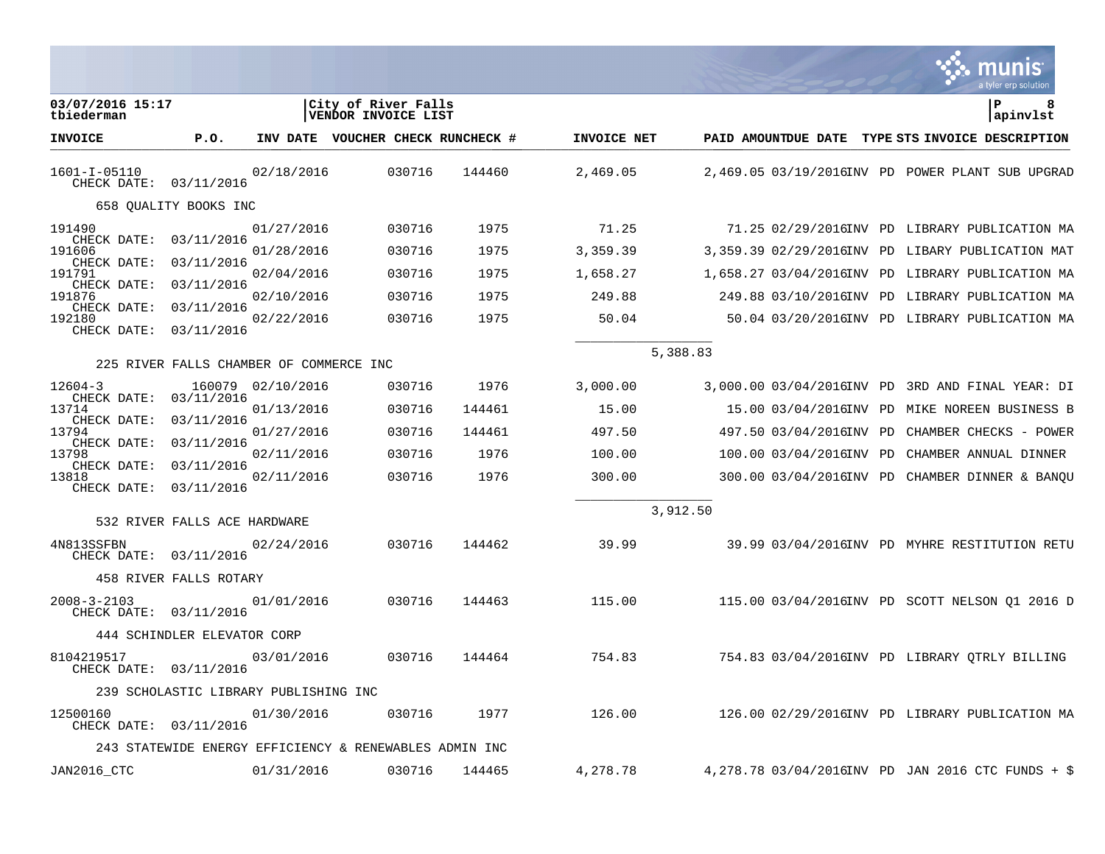|                                             |                                         |                   |                                                        |        |             |          |  | a tyler erp solution                              |
|---------------------------------------------|-----------------------------------------|-------------------|--------------------------------------------------------|--------|-------------|----------|--|---------------------------------------------------|
| 03/07/2016 15:17<br>tbiederman              |                                         |                   | City of River Falls<br>VENDOR INVOICE LIST             |        |             |          |  | P<br> apinvlst                                    |
| <b>INVOICE</b>                              | P.0.                                    |                   | INV DATE VOUCHER CHECK RUNCHECK #                      |        | INVOICE NET |          |  | PAID AMOUNTDUE DATE TYPE STS INVOICE DESCRIPTION  |
| 1601-I-05110<br>CHECK DATE: 03/11/2016      |                                         | 02/18/2016        | 030716                                                 | 144460 | 2,469.05    |          |  | 2,469.05 03/19/2016INV PD POWER PLANT SUB UPGRAD  |
|                                             | 658 QUALITY BOOKS INC                   |                   |                                                        |        |             |          |  |                                                   |
| 191490                                      |                                         | 01/27/2016        | 030716                                                 | 1975   | 71.25       |          |  | 71.25 02/29/2016INV PD LIBRARY PUBLICATION MA     |
| CHECK DATE:<br>191606                       | 03/11/2016                              | 01/28/2016        | 030716                                                 | 1975   | 3,359.39    |          |  | 3,359.39 02/29/2016INV PD LIBARY PUBLICATION MAT  |
| CHECK DATE:<br>191791                       | 03/11/2016                              | 02/04/2016        | 030716                                                 | 1975   | 1,658.27    |          |  | 1,658.27 03/04/2016INV PD LIBRARY PUBLICATION MA  |
| CHECK DATE:<br>191876                       | 03/11/2016                              | 02/10/2016        | 030716                                                 | 1975   | 249.88      |          |  | 249.88 03/10/2016INV PD LIBRARY PUBLICATION MA    |
| CHECK DATE:<br>192180<br>CHECK DATE:        | 03/11/2016<br>03/11/2016                | 02/22/2016        | 030716                                                 | 1975   | 50.04       |          |  | 50.04 03/20/2016INV PD LIBRARY PUBLICATION MA     |
|                                             |                                         |                   |                                                        |        |             |          |  |                                                   |
|                                             | 225 RIVER FALLS CHAMBER OF COMMERCE INC |                   |                                                        |        |             | 5,388.83 |  |                                                   |
| $12604 - 3$                                 |                                         | 160079 02/10/2016 | 030716                                                 | 1976   | 3,000.00    |          |  | 3,000.00 03/04/2016INV PD 3RD AND FINAL YEAR: DI  |
| CHECK DATE:<br>13714                        | 03/11/2016                              | 01/13/2016        | 030716                                                 | 144461 | 15.00       |          |  | 15.00 03/04/2016INV PD MIKE NOREEN BUSINESS B     |
| CHECK DATE:<br>13794                        | 03/11/2016                              | 01/27/2016        | 030716                                                 | 144461 | 497.50      |          |  | 497.50 03/04/2016INV PD CHAMBER CHECKS - POWER    |
| CHECK DATE:<br>13798                        | 03/11/2016                              | 02/11/2016        | 030716                                                 | 1976   | 100.00      |          |  | 100.00 03/04/2016INV PD CHAMBER ANNUAL DINNER     |
| CHECK DATE:<br>13818                        | 03/11/2016                              | 02/11/2016        | 030716                                                 | 1976   | 300.00      |          |  | 300.00 03/04/2016INV PD CHAMBER DINNER & BANQU    |
| CHECK DATE:                                 | 03/11/2016                              |                   |                                                        |        |             |          |  |                                                   |
|                                             | 532 RIVER FALLS ACE HARDWARE            |                   |                                                        |        |             | 3,912.50 |  |                                                   |
| 4N813SSFBN<br>CHECK DATE: 03/11/2016        |                                         | 02/24/2016        | 030716                                                 | 144462 | 39.99       |          |  | 39.99 03/04/2016INV PD MYHRE RESTITUTION RETU     |
|                                             | 458 RIVER FALLS ROTARY                  |                   |                                                        |        |             |          |  |                                                   |
| $2008 - 3 - 2103$<br>CHECK DATE: 03/11/2016 |                                         | 01/01/2016        | 030716                                                 | 144463 | 115.00      |          |  | 115.00 03/04/2016INV PD SCOTT NELSON Q1 2016 D    |
|                                             | 444 SCHINDLER ELEVATOR CORP             |                   |                                                        |        |             |          |  |                                                   |
| 8104219517<br>CHECK DATE: 03/11/2016        |                                         | 03/01/2016        | 030716                                                 | 144464 | 754.83      |          |  | 754.83 03/04/2016INV PD LIBRARY QTRLY BILLING     |
|                                             | 239 SCHOLASTIC LIBRARY PUBLISHING INC   |                   |                                                        |        |             |          |  |                                                   |
| 12500160<br>CHECK DATE: 03/11/2016          |                                         | 01/30/2016        | 030716                                                 | 1977   | 126.00      |          |  | 126.00 02/29/2016INV PD LIBRARY PUBLICATION MA    |
|                                             |                                         |                   | 243 STATEWIDE ENERGY EFFICIENCY & RENEWABLES ADMIN INC |        |             |          |  |                                                   |
| JAN2016 CTC                                 |                                         | 01/31/2016        | 030716                                                 | 144465 | 4,278.78    |          |  | 4,278.78 03/04/2016INV PD JAN 2016 CTC FUNDS + \$ |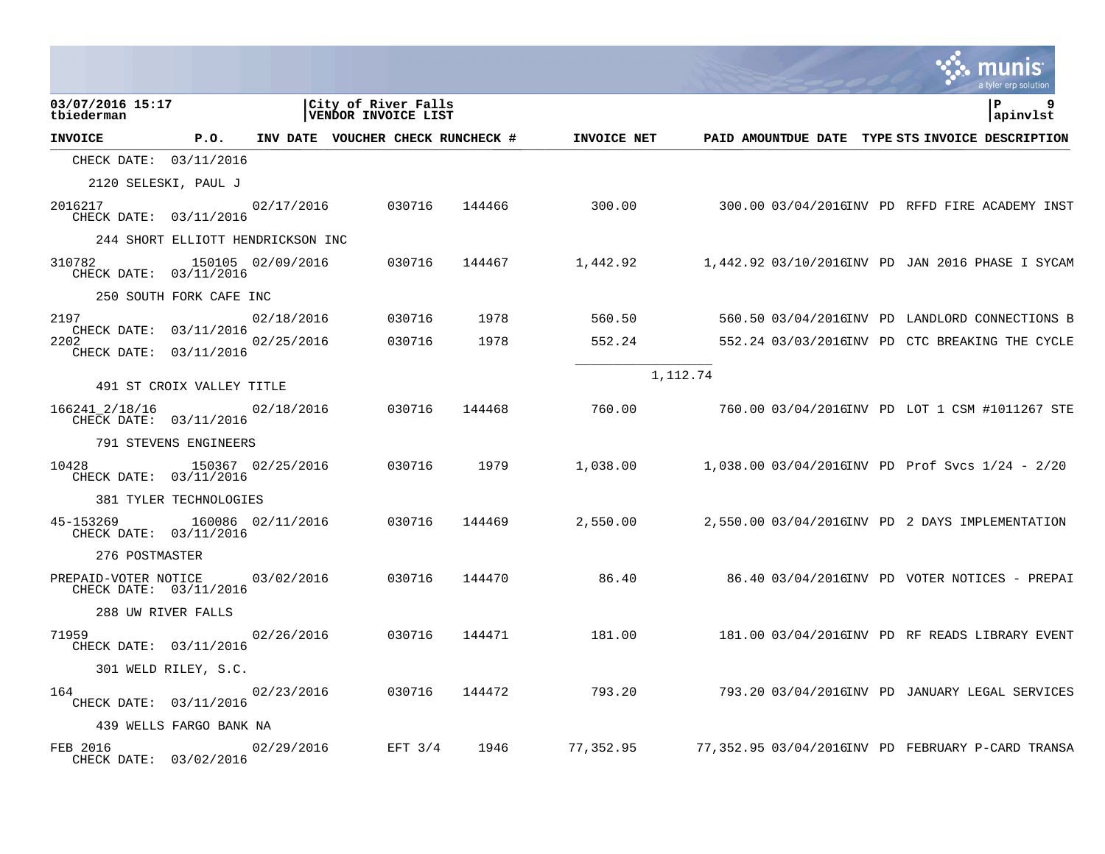|                                                |                                   |                   |                                            |        |             |          | a tyler erp solution                                 |
|------------------------------------------------|-----------------------------------|-------------------|--------------------------------------------|--------|-------------|----------|------------------------------------------------------|
| 03/07/2016 15:17<br>tbiederman                 |                                   |                   | City of River Falls<br>VENDOR INVOICE LIST |        |             |          | ΙP<br>apinvlst                                       |
| <b>INVOICE</b>                                 | P.0.                              |                   | INV DATE VOUCHER CHECK RUNCHECK #          |        | INVOICE NET |          | PAID AMOUNTDUE DATE TYPE STS INVOICE DESCRIPTION     |
| CHECK DATE: 03/11/2016                         |                                   |                   |                                            |        |             |          |                                                      |
|                                                | 2120 SELESKI, PAUL J              |                   |                                            |        |             |          |                                                      |
| 2016217<br>CHECK DATE: 03/11/2016              |                                   | 02/17/2016        | 030716                                     | 144466 | 300.00      |          | 300.00 03/04/2016INV PD RFFD FIRE ACADEMY INST       |
|                                                | 244 SHORT ELLIOTT HENDRICKSON INC |                   |                                            |        |             |          |                                                      |
| 310782<br>CHECK DATE: 03/11/2016               |                                   | 150105 02/09/2016 | 030716                                     | 144467 | 1,442.92    |          | 1,442.92 03/10/2016INV PD JAN 2016 PHASE I SYCAM     |
|                                                | 250 SOUTH FORK CAFE INC           |                   |                                            |        |             |          |                                                      |
| 2197<br>CHECK DATE: 03/11/2016                 |                                   | 02/18/2016        | 030716                                     | 1978   | 560.50      |          | 560.50 03/04/2016INV PD LANDLORD CONNECTIONS B       |
| 2202<br>CHECK DATE: 03/11/2016                 |                                   | 02/25/2016        | 030716                                     | 1978   | 552.24      |          | 552.24 03/03/2016INV PD CTC BREAKING THE CYCLE       |
|                                                | 491 ST CROIX VALLEY TITLE         |                   |                                            |        |             | 1,112.74 |                                                      |
| 166241_2/18/16<br>CHECK DATE: 03/11/2016       |                                   | 02/18/2016        | 030716                                     | 144468 | 760.00      |          | 760.00 03/04/2016INV PD LOT 1 CSM #1011267 STE       |
|                                                | 791 STEVENS ENGINEERS             |                   |                                            |        |             |          |                                                      |
| 10428<br>CHECK DATE: 03/11/2016                |                                   | 150367 02/25/2016 | 030716                                     | 1979   | 1,038.00    |          | $1,038.00 03/04/2016$ INV PD Prof Svcs $1/24 - 2/20$ |
|                                                | 381 TYLER TECHNOLOGIES            |                   |                                            |        |             |          |                                                      |
| 45-153269<br>CHECK DATE: 03/11/2016            |                                   | 160086 02/11/2016 | 030716                                     | 144469 | 2,550.00    |          | 2,550.00 03/04/2016INV PD 2 DAYS IMPLEMENTATION      |
| 276 POSTMASTER                                 |                                   |                   |                                            |        |             |          |                                                      |
| PREPAID-VOTER NOTICE<br>CHECK DATE: 03/11/2016 |                                   | 03/02/2016        | 030716                                     | 144470 | 86.40       |          | 86.40 03/04/2016INV PD VOTER NOTICES - PREPAI        |
|                                                | 288 UW RIVER FALLS                |                   |                                            |        |             |          |                                                      |
| 71959<br>CHECK DATE: 03/11/2016                |                                   | 02/26/2016        | 030716                                     | 144471 | 181.00      |          | 181.00 03/04/2016INV PD RF READS LIBRARY EVENT       |
|                                                | 301 WELD RILEY, S.C.              |                   |                                            |        |             |          |                                                      |
| 164<br>CHECK DATE: 03/11/2016                  |                                   | 02/23/2016        | 030716                                     | 144472 | 793.20      |          | 793.20 03/04/2016INV PD JANUARY LEGAL SERVICES       |
|                                                | 439 WELLS FARGO BANK NA           |                   |                                            |        |             |          |                                                      |
| FEB 2016<br>CHECK DATE: 03/02/2016             |                                   | 02/29/2016        | EFT $3/4$                                  | 1946   | 77,352.95   |          | 77,352.95 03/04/2016INV PD FEBRUARY P-CARD TRANSA    |